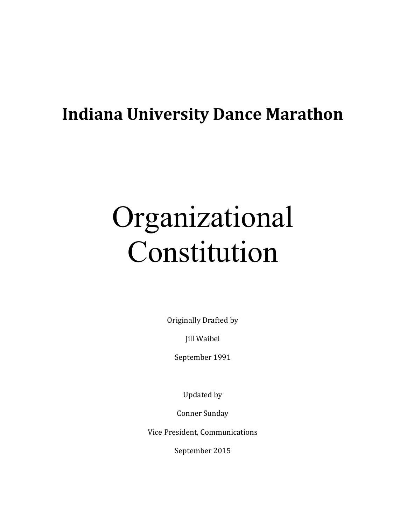## **Indiana University Dance Marathon**

# Organizational Constitution

Originally Drafted by

Jill Waibel

September 1991

Updated by

Conner Sunday

Vice President, Communications

September 2015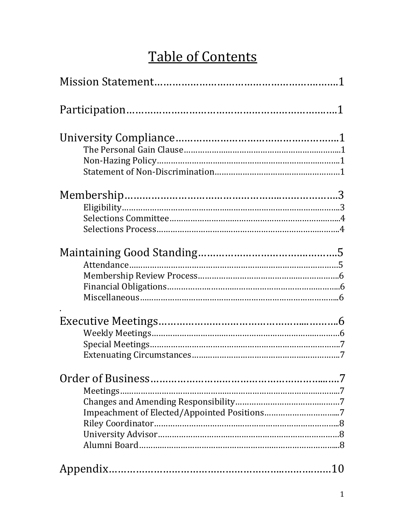## Table of Contents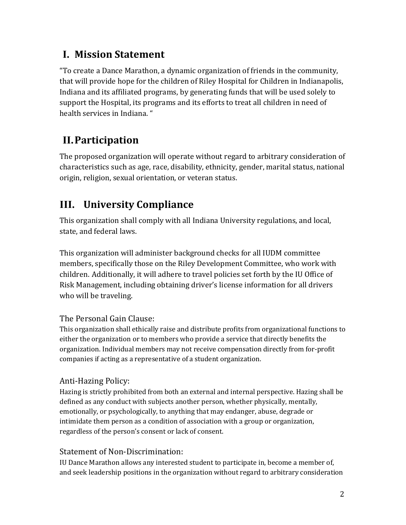## **I. Mission Statement**

"To create a Dance Marathon, a dynamic organization of friends in the community, that will provide hope for the children of Riley Hospital for Children in Indianapolis, Indiana and its affiliated programs, by generating funds that will be used solely to support the Hospital, its programs and its efforts to treat all children in need of health services in Indiana. "

## **II.Participation**

The proposed organization will operate without regard to arbitrary consideration of characteristics such as age, race, disability, ethnicity, gender, marital status, national origin, religion, sexual orientation, or veteran status.

## **III. University Compliance**

This organization shall comply with all Indiana University regulations, and local, state, and federal laws.

This organization will administer background checks for all IUDM committee members, specifically those on the Riley Development Committee, who work with children. Additionally, it will adhere to travel policies set forth by the IU Office of Risk Management, including obtaining driver's license information for all drivers who will be traveling.

#### The Personal Gain Clause:

This organization shall ethically raise and distribute profits from organizational functions to either the organization or to members who provide a service that directly benefits the organization. Individual members may not receive compensation directly from for-profit companies if acting as a representative of a student organization.

#### Anti-Hazing Policy:

Hazing is strictly prohibited from both an external and internal perspective. Hazing shall be defined as any conduct with subjects another person, whether physically, mentally, emotionally, or psychologically, to anything that may endanger, abuse, degrade or intimidate them person as a condition of association with a group or organization, regardless of the person's consent or lack of consent.

#### Statement of Non-Discrimination:

IU Dance Marathon allows any interested student to participate in, become a member of, and seek leadership positions in the organization without regard to arbitrary consideration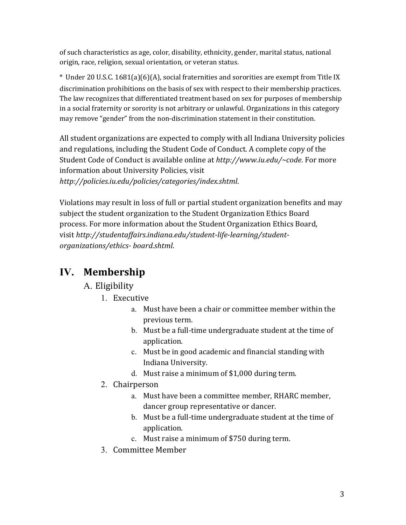of such characteristics as age, color, disability, ethnicity, gender, marital status, national origin, race, religion, sexual orientation, or veteran status.

\* Under 20 U.S.C. 1681(a)(6)(A), social fraternities and sororities are exempt from Title IX discrimination prohibitions on the basis of sex with respect to their membership practices. The law recognizes that differentiated treatment based on sex for purposes of membership in a social fraternity or sorority is not arbitrary or unlawful. Organizations in this category may remove "gender" from the non-discrimination statement in their constitution.

All student organizations are expected to comply with all Indiana University policies and regulations, including the Student Code of Conduct. A complete copy of the Student Code of Conduct is available online at *http://www.iu.edu/~code*. For more information about University Policies, visit *http://policies.iu.edu/policies/categories/index.shtml*.

Violations may result in loss of full or partial student organization benefits and may subject the student organization to the Student Organization Ethics Board process. For more information about the Student Organization Ethics Board, visit *http://studentaffairs.indiana.edu/student-life-learning/studentorganizations/ethics- board.shtml*.

## **IV. Membership**

#### A. Eligibility

- 1. Executive
	- a. Must have been a chair or committee member within the previous term.
	- b. Must be a full-time undergraduate student at the time of application.
	- c. Must be in good academic and financial standing with Indiana University.
	- d. Must raise a minimum of \$1,000 during term.
- 2. Chairperson
	- a. Must have been a committee member, RHARC member, dancer group representative or dancer.
	- b. Must be a full-time undergraduate student at the time of application.
	- c. Must raise a minimum of \$750 during term.
- 3. Committee Member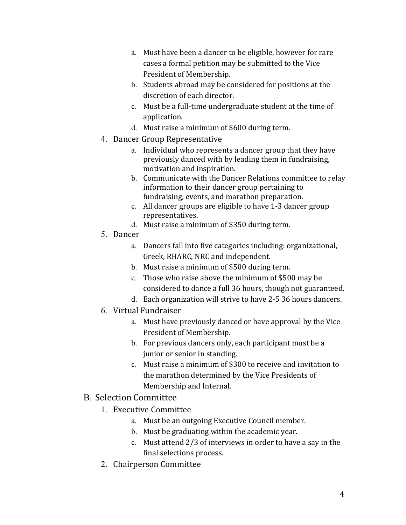- a. Must have been a dancer to be eligible, however for rare cases a formal petition may be submitted to the Vice President of Membership.
- b. Students abroad may be considered for positions at the discretion of each director.
- c. Must be a full-time undergraduate student at the time of application.
- d. Must raise a minimum of \$600 during term.
- 4. Dancer Group Representative
	- a. Individual who represents a dancer group that they have previously danced with by leading them in fundraising, motivation and inspiration.
	- b. Communicate with the Dancer Relations committee to relay information to their dancer group pertaining to fundraising, events, and marathon preparation.
	- c. All dancer groups are eligible to have 1-3 dancer group representatives.
	- d. Must raise a minimum of \$350 during term.
- 5. Dancer
	- a. Dancers fall into five categories including: organizational, Greek, RHARC, NRC and independent.
	- b. Must raise a minimum of \$500 during term.
	- c. Those who raise above the minimum of \$500 may be considered to dance a full 36 hours, though not guaranteed.
	- d. Each organization will strive to have 2-5 36 hours dancers.
- 6. Virtual Fundraiser
	- a. Must have previously danced or have approval by the Vice President of Membership.
	- b. For previous dancers only, each participant must be a junior or senior in standing.
	- c. Must raise a minimum of \$300 to receive and invitation to the marathon determined by the Vice Presidents of Membership and Internal.
- B. Selection Committee
	- 1. Executive Committee
		- a. Must be an outgoing Executive Council member.
		- b. Must be graduating within the academic year.
		- c. Must attend 2/3 of interviews in order to have a say in the final selections process.
	- 2. Chairperson Committee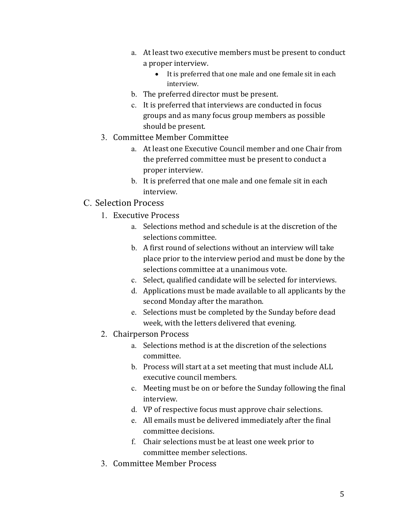- a. At least two executive members must be present to conduct a proper interview.
	- It is preferred that one male and one female sit in each interview.
- b. The preferred director must be present.
- c. It is preferred that interviews are conducted in focus groups and as many focus group members as possible should be present.
- 3. Committee Member Committee
	- a. At least one Executive Council member and one Chair from the preferred committee must be present to conduct a proper interview.
	- b. It is preferred that one male and one female sit in each interview.

#### C. Selection Process

- 1. Executive Process
	- a. Selections method and schedule is at the discretion of the selections committee.
	- b. A first round of selections without an interview will take place prior to the interview period and must be done by the selections committee at a unanimous vote.
	- c. Select, qualified candidate will be selected for interviews.
	- d. Applications must be made available to all applicants by the second Monday after the marathon.
	- e. Selections must be completed by the Sunday before dead week, with the letters delivered that evening.
- 2. Chairperson Process
	- a. Selections method is at the discretion of the selections committee.
	- b. Process will start at a set meeting that must include ALL executive council members.
	- c. Meeting must be on or before the Sunday following the final interview.
	- d. VP of respective focus must approve chair selections.
	- e. All emails must be delivered immediately after the final committee decisions.
	- f. Chair selections must be at least one week prior to committee member selections.
- 3. Committee Member Process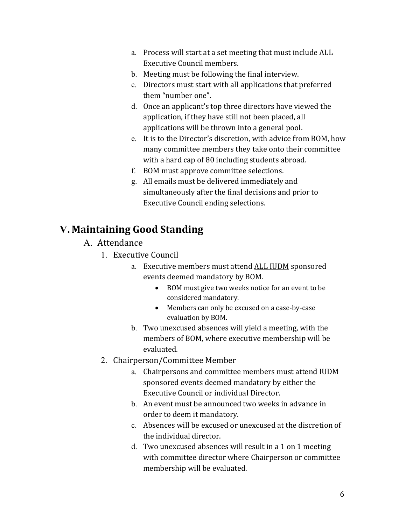- a. Process will start at a set meeting that must include ALL Executive Council members.
- b. Meeting must be following the final interview.
- c. Directors must start with all applications that preferred them "number one".
- d. Once an applicant's top three directors have viewed the application, if they have still not been placed, all applications will be thrown into a general pool.
- e. It is to the Director's discretion, with advice from BOM, how many committee members they take onto their committee with a hard cap of 80 including students abroad.
- f. BOM must approve committee selections.
- g. All emails must be delivered immediately and simultaneously after the final decisions and prior to Executive Council ending selections.

## **V. Maintaining Good Standing**

- A. Attendance
	- 1. Executive Council
		- a. Executive members must attend ALL IUDM sponsored events deemed mandatory by BOM.
			- BOM must give two weeks notice for an event to be considered mandatory.
			- Members can only be excused on a case-by-case evaluation by BOM.
		- b. Two unexcused absences will yield a meeting, with the members of BOM, where executive membership will be evaluated.
	- 2. Chairperson/Committee Member
		- a. Chairpersons and committee members must attend IUDM sponsored events deemed mandatory by either the Executive Council or individual Director.
		- b. An event must be announced two weeks in advance in order to deem it mandatory.
		- c. Absences will be excused or unexcused at the discretion of the individual director.
		- d. Two unexcused absences will result in a 1 on 1 meeting with committee director where Chairperson or committee membership will be evaluated.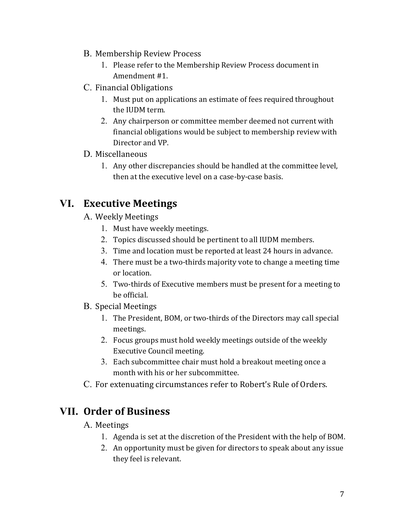- B. Membership Review Process
	- 1. Please refer to the Membership Review Process document in Amendment #1.
- C. Financial Obligations
	- 1. Must put on applications an estimate of fees required throughout the IUDM term.
	- 2. Any chairperson or committee member deemed not current with financial obligations would be subject to membership review with Director and VP.

#### D. Miscellaneous

1. Any other discrepancies should be handled at the committee level, then at the executive level on a case-by-case basis.

## **VI. Executive Meetings**

- A. Weekly Meetings
	- 1. Must have weekly meetings.
	- 2. Topics discussed should be pertinent to all IUDM members.
	- 3. Time and location must be reported at least 24 hours in advance.
	- 4. There must be a two-thirds majority vote to change a meeting time or location.
	- 5. Two-thirds of Executive members must be present for a meeting to be official.
- B. Special Meetings
	- 1. The President, BOM, or two-thirds of the Directors may call special meetings.
	- 2. Focus groups must hold weekly meetings outside of the weekly Executive Council meeting.
	- 3. Each subcommittee chair must hold a breakout meeting once a month with his or her subcommittee.
- C. For extenuating circumstances refer to Robert's Rule of Orders.

### **VII. Order of Business**

#### A. Meetings

- 1. Agenda is set at the discretion of the President with the help of BOM.
- 2. An opportunity must be given for directors to speak about any issue they feel is relevant.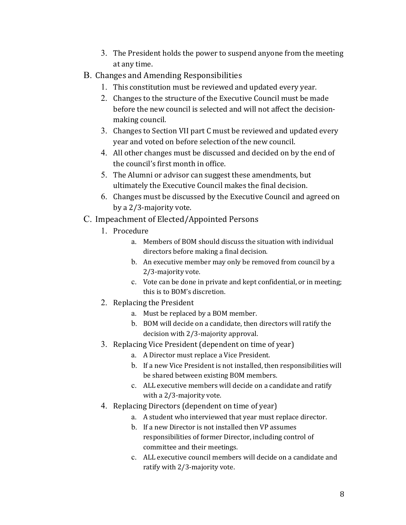- 3. The President holds the power to suspend anyone from the meeting at any time.
- B. Changes and Amending Responsibilities
	- 1. This constitution must be reviewed and updated every year.
	- 2. Changes to the structure of the Executive Council must be made before the new council is selected and will not affect the decisionmaking council.
	- 3. Changes to Section VII part C must be reviewed and updated every year and voted on before selection of the new council.
	- 4. All other changes must be discussed and decided on by the end of the council's first month in office.
	- 5. The Alumni or advisor can suggest these amendments, but ultimately the Executive Council makes the final decision.
	- 6. Changes must be discussed by the Executive Council and agreed on by a 2/3-majority vote.
- C. Impeachment of Elected/Appointed Persons
	- 1. Procedure
		- a. Members of BOM should discuss the situation with individual directors before making a final decision.
		- b. An executive member may only be removed from council by a 2/3-majority vote.
		- c. Vote can be done in private and kept confidential, or in meeting; this is to BOM's discretion.
	- 2. Replacing the President
		- a. Must be replaced by a BOM member.
		- b. BOM will decide on a candidate, then directors will ratify the decision with 2/3-majority approval.
	- 3. Replacing Vice President (dependent on time of year)
		- a. A Director must replace a Vice President.
		- b. If a new Vice President is not installed, then responsibilities will be shared between existing BOM members.
		- c. ALL executive members will decide on a candidate and ratify with a 2/3-majority vote.
	- 4. Replacing Directors (dependent on time of year)
		- a. A student who interviewed that year must replace director.
		- b. If a new Director is not installed then VP assumes responsibilities of former Director, including control of committee and their meetings.
		- c. ALL executive council members will decide on a candidate and ratify with 2/3-majority vote.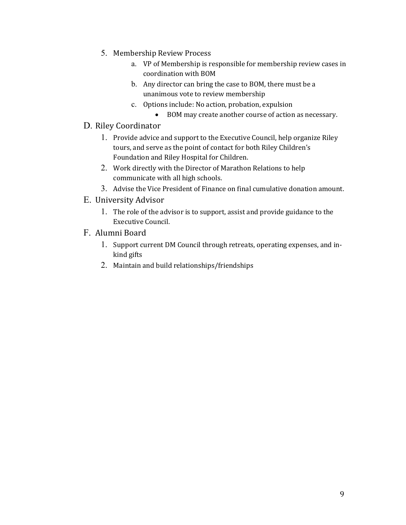- 5. Membership Review Process
	- a. VP of Membership is responsible for membership review cases in coordination with BOM
	- b. Any director can bring the case to BOM, there must be a unanimous vote to review membership
	- c. Options include: No action, probation, expulsion
		- BOM may create another course of action as necessary.
- D. Riley Coordinator
	- 1. Provide advice and support to the Executive Council, help organize Riley tours, and serve as the point of contact for both Riley Children's Foundation and Riley Hospital for Children.
	- 2. Work directly with the Director of Marathon Relations to help communicate with all high schools.
	- 3. Advise the Vice President of Finance on final cumulative donation amount.
- E. University Advisor
	- 1. The role of the advisor is to support, assist and provide guidance to the Executive Council.
- F. Alumni Board
	- 1. Support current DM Council through retreats, operating expenses, and inkind gifts
	- 2. Maintain and build relationships/friendships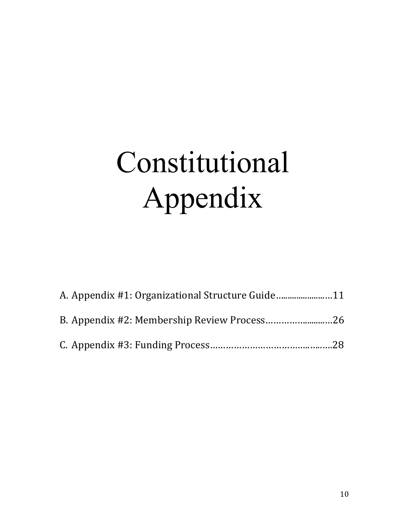# Constitutional Appendix

| A. Appendix #1: Organizational Structure Guide |  |
|------------------------------------------------|--|
|                                                |  |
|                                                |  |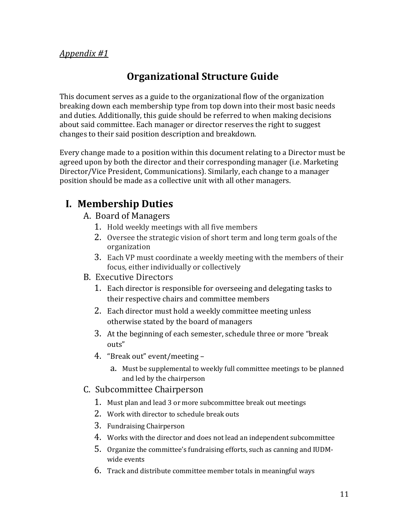#### *Appendix #1*

## **Organizational Structure Guide**

This document serves as a guide to the organizational flow of the organization breaking down each membership type from top down into their most basic needs and duties. Additionally, this guide should be referred to when making decisions about said committee. Each manager or director reserves the right to suggest changes to their said position description and breakdown.

Every change made to a position within this document relating to a Director must be agreed upon by both the director and their corresponding manager (i.e. Marketing Director/Vice President, Communications). Similarly, each change to a manager position should be made as a collective unit with all other managers.

## **I. Membership Duties**

- A. Board of Managers
	- 1. Hold weekly meetings with all five members
	- 2. Oversee the strategic vision of short term and long term goals of the organization
	- 3. Each VP must coordinate a weekly meeting with the members of their focus, either individually or collectively
- B. Executive Directors
	- 1. Each director is responsible for overseeing and delegating tasks to their respective chairs and committee members
	- 2. Each director must hold a weekly committee meeting unless otherwise stated by the board of managers
	- 3. At the beginning of each semester, schedule three or more "break outs"
	- 4. "Break out" event/meeting
		- a. Must be supplemental to weekly full committee meetings to be planned and led by the chairperson
- C. Subcommittee Chairperson
	- 1. Must plan and lead 3 or more subcommittee break out meetings
	- 2. Work with director to schedule break outs
	- 3. Fundraising Chairperson
	- 4. Works with the director and does not lead an independent subcommittee
	- 5. Organize the committee's fundraising efforts, such as canning and IUDMwide events
	- 6. Track and distribute committee member totals in meaningful ways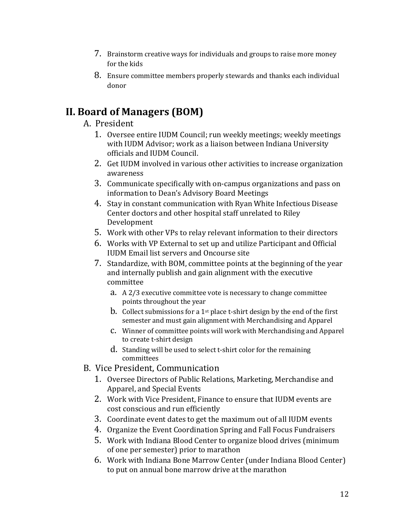- 7. Brainstorm creative ways for individuals and groups to raise more money for the kids
- 8. Ensure committee members properly stewards and thanks each individual donor

## **II. Board of Managers (BOM)**

#### A. President

- 1. Oversee entire IUDM Council; run weekly meetings; weekly meetings with IUDM Advisor; work as a liaison between Indiana University officials and IUDM Council.
- 2. Get IUDM involved in various other activities to increase organization awareness
- 3. Communicate specifically with on-campus organizations and pass on information to Dean's Advisory Board Meetings
- 4. Stay in constant communication with Ryan White Infectious Disease Center doctors and other hospital staff unrelated to Riley Development
- 5. Work with other VPs to relay relevant information to their directors
- 6. Works with VP External to set up and utilize Participant and Official IUDM Email list servers and Oncourse site
- 7. Standardize, with BOM, committee points at the beginning of the year and internally publish and gain alignment with the executive committee
	- a. A 2/3 executive committee vote is necessary to change committee points throughout the year
	- b. Collect submissions for a 1st place t-shirt design by the end of the first semester and must gain alignment with Merchandising and Apparel
	- c. Winner of committee points will work with Merchandising and Apparel to create t-shirt design
	- d. Standing will be used to select t-shirt color for the remaining committees
- B. Vice President, Communication
	- 1. Oversee Directors of Public Relations, Marketing, Merchandise and Apparel, and Special Events
	- 2. Work with Vice President, Finance to ensure that IUDM events are cost conscious and run efficiently
	- 3. Coordinate event dates to get the maximum out of all IUDM events
	- 4. Organize the Event Coordination Spring and Fall Focus Fundraisers
	- 5. Work with Indiana Blood Center to organize blood drives (minimum of one per semester) prior to marathon
	- 6. Work with Indiana Bone Marrow Center (under Indiana Blood Center) to put on annual bone marrow drive at the marathon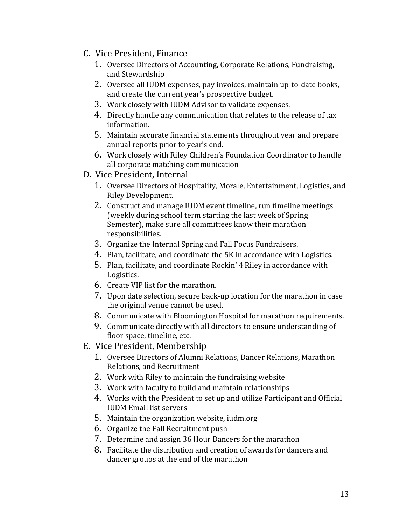#### C. Vice President, Finance

- 1. Oversee Directors of Accounting, Corporate Relations, Fundraising, and Stewardship
- 2. Oversee all IUDM expenses, pay invoices, maintain up-to-date books, and create the current year's prospective budget.
- 3. Work closely with IUDM Advisor to validate expenses.
- 4. Directly handle any communication that relates to the release of tax information.
- 5. Maintain accurate financial statements throughout year and prepare annual reports prior to year's end.
- 6. Work closely with Riley Children's Foundation Coordinator to handle all corporate matching communication
- D. Vice President, Internal
	- 1. Oversee Directors of Hospitality, Morale, Entertainment, Logistics, and Riley Development.
	- 2. Construct and manage IUDM event timeline, run timeline meetings (weekly during school term starting the last week of Spring Semester), make sure all committees know their marathon responsibilities.
	- 3. Organize the Internal Spring and Fall Focus Fundraisers.
	- 4. Plan, facilitate, and coordinate the 5K in accordance with Logistics.
	- 5. Plan, facilitate, and coordinate Rockin' 4 Riley in accordance with Logistics.
	- 6. Create VIP list for the marathon.
	- 7. Upon date selection, secure back-up location for the marathon in case the original venue cannot be used.
	- 8. Communicate with Bloomington Hospital for marathon requirements.
	- 9. Communicate directly with all directors to ensure understanding of floor space, timeline, etc.
- E. Vice President, Membership
	- 1. Oversee Directors of Alumni Relations, Dancer Relations, Marathon Relations, and Recruitment
	- 2. Work with Riley to maintain the fundraising website
	- 3. Work with faculty to build and maintain relationships
	- 4. Works with the President to set up and utilize Participant and Official IUDM Email list servers
	- 5. Maintain the organization website, iudm.org
	- 6. Organize the Fall Recruitment push
	- 7. Determine and assign 36 Hour Dancers for the marathon
	- 8. Facilitate the distribution and creation of awards for dancers and dancer groups at the end of the marathon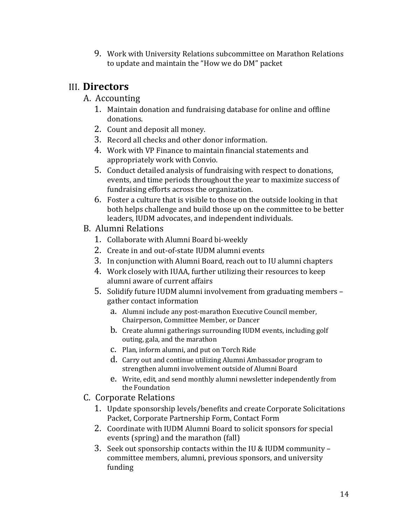9. Work with University Relations subcommittee on Marathon Relations to update and maintain the "How we do DM" packet

### III. **Directors**

#### A. Accounting

- 1. Maintain donation and fundraising database for online and offline donations.
- 2. Count and deposit all money.
- 3. Record all checks and other donor information.
- 4. Work with VP Finance to maintain financial statements and appropriately work with Convio.
- 5. Conduct detailed analysis of fundraising with respect to donations, events, and time periods throughout the year to maximize success of fundraising efforts across the organization.
- 6. Foster a culture that is visible to those on the outside looking in that both helps challenge and build those up on the committee to be better leaders, IUDM advocates, and independent individuals.
- B. Alumni Relations
	- 1. Collaborate with Alumni Board bi-weekly
	- 2. Create in and out-of-state IUDM alumni events
	- 3. In conjunction with Alumni Board, reach out to IU alumni chapters
	- 4. Work closely with IUAA, further utilizing their resources to keep alumni aware of current affairs
	- 5. Solidify future IUDM alumni involvement from graduating members gather contact information
		- a. Alumni include any post-marathon Executive Council member, Chairperson, Committee Member, or Dancer
		- b. Create alumni gatherings surrounding IUDM events, including golf outing, gala, and the marathon
		- c. Plan, inform alumni, and put on Torch Ride
		- d. Carry out and continue utilizing Alumni Ambassador program to strengthen alumni involvement outside of Alumni Board
		- e. Write, edit, and send monthly alumni newsletter independently from the Foundation
- C. Corporate Relations
	- 1. Update sponsorship levels/benefits and create Corporate Solicitations Packet, Corporate Partnership Form, Contact Form
	- 2. Coordinate with IUDM Alumni Board to solicit sponsors for special events (spring) and the marathon (fall)
	- 3. Seek out sponsorship contacts within the IU & IUDM community committee members, alumni, previous sponsors, and university funding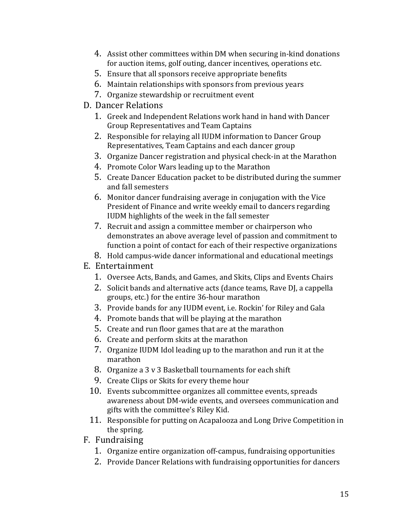- 4. Assist other committees within DM when securing in-kind donations for auction items, golf outing, dancer incentives, operations etc.
- 5. Ensure that all sponsors receive appropriate benefits
- 6. Maintain relationships with sponsors from previous years
- 7. Organize stewardship or recruitment event
- D. Dancer Relations
	- 1. Greek and Independent Relations work hand in hand with Dancer Group Representatives and Team Captains
	- 2. Responsible for relaying all IUDM information to Dancer Group Representatives, Team Captains and each dancer group
	- 3. Organize Dancer registration and physical check-in at the Marathon
	- 4. Promote Color Wars leading up to the Marathon
	- 5. Create Dancer Education packet to be distributed during the summer and fall semesters
	- 6. Monitor dancer fundraising average in conjugation with the Vice President of Finance and write weekly email to dancers regarding IUDM highlights of the week in the fall semester
	- 7. Recruit and assign a committee member or chairperson who demonstrates an above average level of passion and commitment to function a point of contact for each of their respective organizations
	- 8. Hold campus-wide dancer informational and educational meetings
- E. Entertainment
	- 1. Oversee Acts, Bands, and Games, and Skits, Clips and Events Chairs
	- 2. Solicit bands and alternative acts (dance teams, Rave DJ, a cappella groups, etc.) for the entire 36-hour marathon
	- 3. Provide bands for any IUDM event, i.e. Rockin' for Riley and Gala
	- 4. Promote bands that will be playing at the marathon
	- 5. Create and run floor games that are at the marathon
	- 6. Create and perform skits at the marathon
	- 7. Organize IUDM Idol leading up to the marathon and run it at the marathon
	- 8. Organize a 3 v 3 Basketball tournaments for each shift
	- 9. Create Clips or Skits for every theme hour
	- 10. Events subcommittee organizes all committee events, spreads awareness about DM-wide events, and oversees communication and gifts with the committee's Riley Kid.
	- 11. Responsible for putting on Acapalooza and Long Drive Competition in the spring.
- F. Fundraising
	- 1. Organize entire organization off-campus, fundraising opportunities
	- 2. Provide Dancer Relations with fundraising opportunities for dancers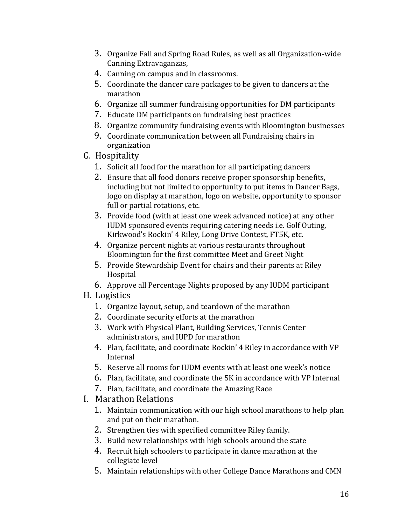- 3. Organize Fall and Spring Road Rules, as well as all Organization-wide Canning Extravaganzas,
- 4. Canning on campus and in classrooms.
- 5. Coordinate the dancer care packages to be given to dancers at the marathon
- 6. Organize all summer fundraising opportunities for DM participants
- 7. Educate DM participants on fundraising best practices
- 8. Organize community fundraising events with Bloomington businesses
- 9. Coordinate communication between all Fundraising chairs in organization
- G. Hospitality
	- 1. Solicit all food for the marathon for all participating dancers
	- 2. Ensure that all food donors receive proper sponsorship benefits, including but not limited to opportunity to put items in Dancer Bags, logo on display at marathon, logo on website, opportunity to sponsor full or partial rotations, etc.
	- 3. Provide food (with at least one week advanced notice) at any other IUDM sponsored events requiring catering needs i.e. Golf Outing, Kirkwood's Rockin' 4 Riley, Long Drive Contest, FT5K, etc.
	- 4. Organize percent nights at various restaurants throughout Bloomington for the first committee Meet and Greet Night
	- 5. Provide Stewardship Event for chairs and their parents at Riley Hospital
	- 6. Approve all Percentage Nights proposed by any IUDM participant
- H. Logistics
	- 1. Organize layout, setup, and teardown of the marathon
	- 2. Coordinate security efforts at the marathon
	- 3. Work with Physical Plant, Building Services, Tennis Center administrators, and IUPD for marathon
	- 4. Plan, facilitate, and coordinate Rockin' 4 Riley in accordance with VP Internal
	- 5. Reserve all rooms for IUDM events with at least one week's notice
	- 6. Plan, facilitate, and coordinate the 5K in accordance with VP Internal
	- 7. Plan, facilitate, and coordinate the Amazing Race
- I. Marathon Relations
	- 1. Maintain communication with our high school marathons to help plan and put on their marathon.
	- 2. Strengthen ties with specified committee Riley family.
	- 3. Build new relationships with high schools around the state
	- 4. Recruit high schoolers to participate in dance marathon at the collegiate level
	- 5. Maintain relationships with other College Dance Marathons and CMN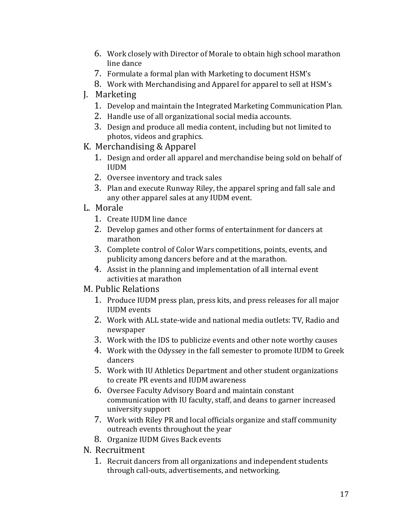- 6. Work closely with Director of Morale to obtain high school marathon line dance
- 7. Formulate a formal plan with Marketing to document HSM's
- 8. Work with Merchandising and Apparel for apparel to sell at HSM's
- J. Marketing
	- 1. Develop and maintain the Integrated Marketing Communication Plan.
	- 2. Handle use of all organizational social media accounts.
	- 3. Design and produce all media content, including but not limited to photos, videos and graphics.
- K. Merchandising & Apparel
	- 1. Design and order all apparel and merchandise being sold on behalf of IUDM
	- 2. Oversee inventory and track sales
	- 3. Plan and execute Runway Riley, the apparel spring and fall sale and any other apparel sales at any IUDM event.
- L. Morale
	- 1. Create IUDM line dance
	- 2. Develop games and other forms of entertainment for dancers at marathon
	- 3. Complete control of Color Wars competitions, points, events, and publicity among dancers before and at the marathon.
	- 4. Assist in the planning and implementation of all internal event activities at marathon
- M. Public Relations
	- 1. Produce IUDM press plan, press kits, and press releases for all major IUDM events
	- 2. Work with ALL state-wide and national media outlets: TV, Radio and newspaper
	- 3. Work with the IDS to publicize events and other note worthy causes
	- 4. Work with the Odyssey in the fall semester to promote IUDM to Greek dancers
	- 5. Work with IU Athletics Department and other student organizations to create PR events and IUDM awareness
	- 6. Oversee Faculty Advisory Board and maintain constant communication with IU faculty, staff, and deans to garner increased university support
	- 7. Work with Riley PR and local officials organize and staff community outreach events throughout the year
	- 8. Organize IUDM Gives Back events
- N. Recruitment
	- 1. Recruit dancers from all organizations and independent students through call-outs, advertisements, and networking.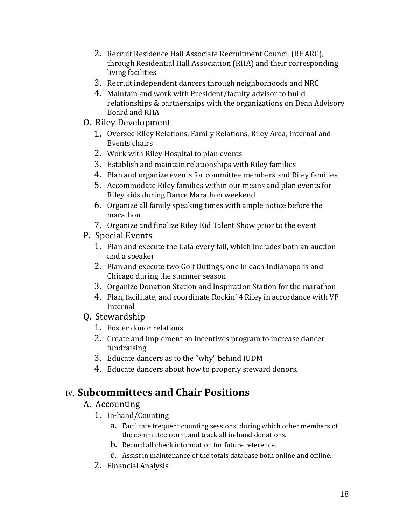- 2. Recruit Residence Hall Associate Recruitment Council (RHARC), through Residential Hall Association (RHA) and their corresponding living facilities
- 3. Recruit independent dancers through neighborhoods and NRC
- 4. Maintain and work with President/faculty advisor to build relationships & partnerships with the organizations on Dean Advisory Board and RHA
- O. Riley Development
	- 1. Oversee Riley Relations, Family Relations, Riley Area, Internal and Events chairs
	- 2. Work with Riley Hospital to plan events
	- 3. Establish and maintain relationships with Riley families
	- 4. Plan and organize events for committee members and Riley families
	- 5. Accommodate Riley families within our means and plan events for Riley kids during Dance Marathon weekend
	- 6. Organize all family speaking times with ample notice before the marathon
	- 7. Organize and finalize Riley Kid Talent Show prior to the event
- P. Special Events
	- 1. Plan and execute the Gala every fall, which includes both an auction and a speaker
	- 2. Plan and execute two Golf Outings, one in each Indianapolis and Chicago during the summer season
	- 3. Organize Donation Station and Inspiration Station for the marathon
	- 4. Plan, facilitate, and coordinate Rockin' 4 Riley in accordance with VP Internal
- Q. Stewardship
	- 1. Foster donor relations
	- 2. Create and implement an incentives program to increase dancer fundraising
	- 3. Educate dancers as to the "why" behind IUDM
	- 4. Educate dancers about how to properly steward donors.

## IV. **Subcommittees and Chair Positions**

#### A. Accounting

- 1. In-hand/Counting
	- a. Facilitate frequent counting sessions, during which other members of the committee count and track all in-hand donations.
	- b. Record all check information for future reference.
	- c. Assist in maintenance of the totals database both online and offline.
- 2. Financial Analysis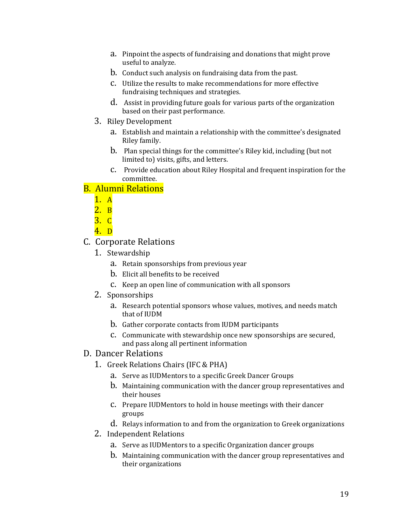- a. Pinpoint the aspects of fundraising and donations that might prove useful to analyze.
- b. Conduct such analysis on fundraising data from the past.
- c. Utilize the results to make recommendations for more effective fundraising techniques and strategies.
- d. Assist in providing future goals for various parts of the organization based on their past performance.
- 3. Riley Development
	- a. Establish and maintain a relationship with the committee's designated Riley family.
	- b. Plan special things for the committee's Riley kid, including (but not limited to) visits, gifts, and letters.
	- c. Provide education about Riley Hospital and frequent inspiration for the committee.

#### B. Alumni Relations

- 1. A
- $\overline{2}$ . B
- 3. C
- 4. D
- C. Corporate Relations
	- 1. Stewardship
		- a. Retain sponsorships from previous year
		- b. Elicit all benefits to be received
		- c. Keep an open line of communication with all sponsors
	- 2. Sponsorships
		- a. Research potential sponsors whose values, motives, and needs match that of IUDM
		- b. Gather corporate contacts from IUDM participants
		- c. Communicate with stewardship once new sponsorships are secured, and pass along all pertinent information
- D. Dancer Relations
	- 1. Greek Relations Chairs (IFC & PHA)
		- a. Serve as IUDMentors to a specific Greek Dancer Groups
		- b. Maintaining communication with the dancer group representatives and their houses
		- c. Prepare IUDMentors to hold in house meetings with their dancer groups
		- d. Relays information to and from the organization to Greek organizations
	- 2. Independent Relations
		- a. Serve as IUDMentors to a specific Organization dancer groups
		- b. Maintaining communication with the dancer group representatives and their organizations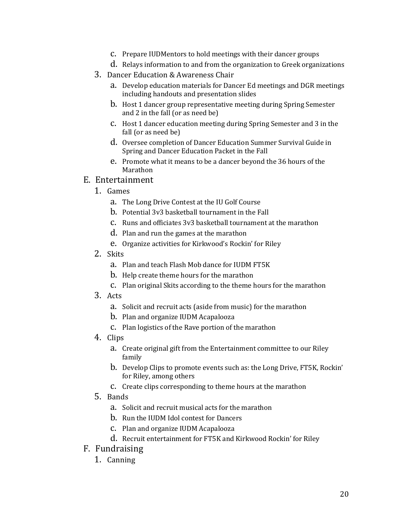c. Prepare IUDMentors to hold meetings with their dancer groups

d. Relays information to and from the organization to Greek organizations

- 3. Dancer Education & Awareness Chair
	- a. Develop education materials for Dancer Ed meetings and DGR meetings including handouts and presentation slides
	- b. Host 1 dancer group representative meeting during Spring Semester and 2 in the fall (or as need be)
	- c. Host 1 dancer education meeting during Spring Semester and 3 in the fall (or as need be)
	- d. Oversee completion of Dancer Education Summer Survival Guide in Spring and Dancer Education Packet in the Fall
	- e. Promote what it means to be a dancer beyond the 36 hours of the Marathon

#### E. Entertainment

- 1. Games
	- a. The Long Drive Contest at the IU Golf Course
	- b. Potential 3v3 basketball tournament in the Fall
	- c. Runs and officiates 3v3 basketball tournament at the marathon
	- d. Plan and run the games at the marathon
	- e. Organize activities for Kirkwood's Rockin' for Riley
- 2. Skits
	- a. Plan and teach Flash Mob dance for IUDM FT5K
	- b. Help create theme hours for the marathon
	- c. Plan original Skits according to the theme hours for the marathon
- 3. Acts
	- a. Solicit and recruit acts (aside from music) for the marathon
	- b. Plan and organize IUDM Acapalooza
	- c. Plan logistics of the Rave portion of the marathon
- 4. Clips
	- a. Create original gift from the Entertainment committee to our Riley family
	- b. Develop Clips to promote events such as: the Long Drive, FT5K, Rockin' for Riley, among others
	- c. Create clips corresponding to theme hours at the marathon
- 5. Bands
	- a. Solicit and recruit musical acts for the marathon
	- b. Run the IUDM Idol contest for Dancers
	- c. Plan and organize IUDM Acapalooza
	- d. Recruit entertainment for FT5K and Kirkwood Rockin' for Riley
- F. Fundraising
	- 1. Canning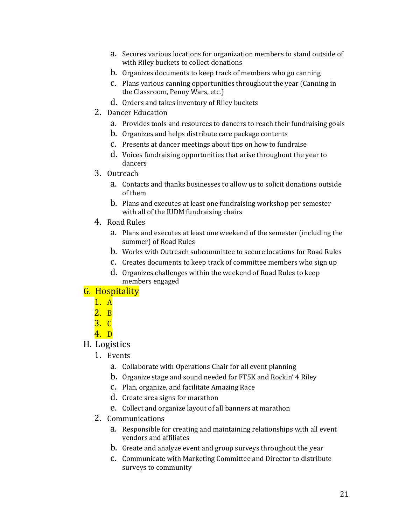- a. Secures various locations for organization members to stand outside of with Riley buckets to collect donations
- b. Organizes documents to keep track of members who go canning
- c. Plans various canning opportunities throughout the year (Canning in the Classroom, Penny Wars, etc.)
- d. Orders and takes inventory of Riley buckets
- 2. Dancer Education
	- a. Provides tools and resources to dancers to reach their fundraising goals
	- b. Organizes and helps distribute care package contents
	- c. Presents at dancer meetings about tips on how to fundraise
	- d. Voices fundraising opportunities that arise throughout the year to dancers
- 3. Outreach
	- a. Contacts and thanks businesses to allow us to solicit donations outside of them
	- b. Plans and executes at least one fundraising workshop per semester with all of the IUDM fundraising chairs
- 4. Road Rules
	- a. Plans and executes at least one weekend of the semester (including the summer) of Road Rules
	- b. Works with Outreach subcommittee to secure locations for Road Rules
	- c. Creates documents to keep track of committee members who sign up
	- d. Organizes challenges within the weekend of Road Rules to keep members engaged

#### G. Hospitality

- 1. A
- $2. B$
- 3. C
- 4. D
- H. Logistics
	- 1. Events
		- a. Collaborate with Operations Chair for all event planning
		- b. Organize stage and sound needed for FT5K and Rockin' 4 Riley
		- c. Plan, organize, and facilitate Amazing Race
		- d. Create area signs for marathon
		- e. Collect and organize layout of all banners at marathon
	- 2. Communications
		- a. Responsible for creating and maintaining relationships with all event vendors and affiliates
		- b. Create and analyze event and group surveys throughout the year
		- c. Communicate with Marketing Committee and Director to distribute surveys to community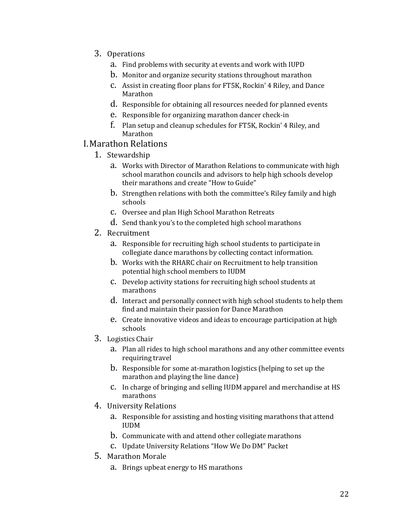- 3. Operations
	- a. Find problems with security at events and work with IUPD
	- b. Monitor and organize security stations throughout marathon
	- c. Assist in creating floor plans for FT5K, Rockin' 4 Riley, and Dance Marathon
	- d. Responsible for obtaining all resources needed for planned events
	- e. Responsible for organizing marathon dancer check-in
	- f. Plan setup and cleanup schedules for FT5K, Rockin' 4 Riley, and Marathon

#### I.Marathon Relations

- 1. Stewardship
	- a. Works with Director of Marathon Relations to communicate with high school marathon councils and advisors to help high schools develop their marathons and create "How to Guide"
	- b. Strengthen relations with both the committee's Riley family and high schools
	- c. Oversee and plan High School Marathon Retreats
	- d. Send thank you's to the completed high school marathons
- 2. Recruitment
	- a. Responsible for recruiting high school students to participate in collegiate dance marathons by collecting contact information.
	- b. Works with the RHARC chair on Recruitment to help transition potential high school members to IUDM
	- c. Develop activity stations for recruiting high school students at marathons
	- d. Interact and personally connect with high school students to help them find and maintain their passion for Dance Marathon
	- e. Create innovative videos and ideas to encourage participation at high schools
- 3. Logistics Chair
	- a. Plan all rides to high school marathons and any other committee events requiring travel
	- b. Responsible for some at-marathon logistics (helping to set up the marathon and playing the line dance)
	- c. In charge of bringing and selling IUDM apparel and merchandise at HS marathons
- 4. University Relations
	- a. Responsible for assisting and hosting visiting marathons that attend IUDM
	- b. Communicate with and attend other collegiate marathons
	- c. Update University Relations "How We Do DM" Packet
- 5. Marathon Morale
	- a. Brings upbeat energy to HS marathons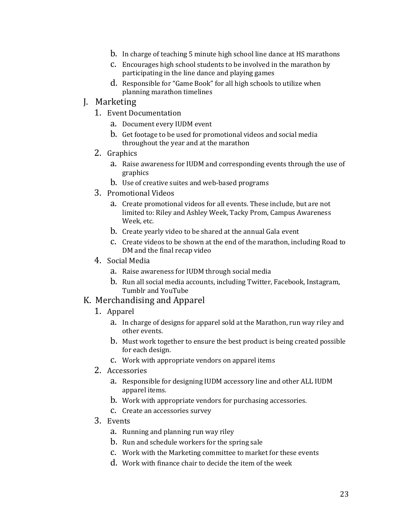- b. In charge of teaching 5 minute high school line dance at HS marathons
- c. Encourages high school students to be involved in the marathon by participating in the line dance and playing games
- d. Responsible for "Game Book" for all high schools to utilize when planning marathon timelines
- J. Marketing
	- 1. Event Documentation
		- a. Document every IUDM event
		- b. Get footage to be used for promotional videos and social media throughout the year and at the marathon
	- 2. Graphics
		- a. Raise awareness for IUDM and corresponding events through the use of graphics
		- b. Use of creative suites and web-based programs
	- 3. Promotional Videos
		- a. Create promotional videos for all events. These include, but are not limited to: Riley and Ashley Week, Tacky Prom, Campus Awareness Week, etc.
		- b. Create yearly video to be shared at the annual Gala event
		- c. Create videos to be shown at the end of the marathon, including Road to DM and the final recap video
	- 4. Social Media
		- a. Raise awareness for IUDM through social media
		- b. Run all social media accounts, including Twitter, Facebook, Instagram, Tumblr and YouTube

#### K. Merchandising and Apparel

- 1. Apparel
	- a. In charge of designs for apparel sold at the Marathon, run way riley and other events.
	- b. Must work together to ensure the best product is being created possible for each design.
	- c. Work with appropriate vendors on apparel items
- 2. Accessories
	- a. Responsible for designing IUDM accessory line and other ALL IUDM apparel items.
	- b. Work with appropriate vendors for purchasing accessories.
	- c. Create an accessories survey
- 3. Events
	- a. Running and planning run way riley
	- b. Run and schedule workers for the spring sale
	- c. Work with the Marketing committee to market for these events
	- d. Work with finance chair to decide the item of the week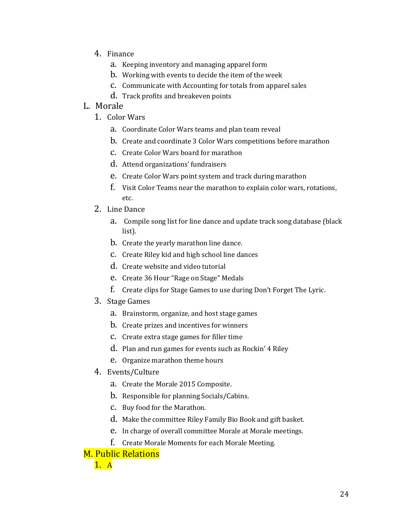- 4. Finance
	- a. Keeping inventory and managing apparel form
	- b. Working with events to decide the item of the week
	- c. Communicate with Accounting for totals from apparel sales
	- d. Track profits and breakeven points

#### L. Morale

- 1. Color Wars
	- a. Coordinate Color Wars teams and plan team reveal
	- b. Create and coordinate 3 Color Wars competitions before marathon
	- c. Create Color Wars board for marathon
	- d. Attend organizations' fundraisers
	- e. Create Color Wars point system and track during marathon
	- f. Visit Color Teams near the marathon to explain color wars, rotations, etc.
- 2. Line Dance
	- a. Compile song list for line dance and update track song database (black list).
	- b. Create the yearly marathon line dance.
	- c. Create Riley kid and high school line dances
	- d. Create website and video tutorial
	- e. Create 36 Hour "Rage on Stage" Medals
	- f. Create clips for Stage Games to use during Don't Forget The Lyric.
- 3. Stage Games
	- a. Brainstorm, organize, and host stage games
	- b. Create prizes and incentives for winners
	- c. Create extra stage games for filler time
	- d. Plan and run games for events such as Rockin' 4 Riley
	- e. Organize marathon theme hours
- 4. Events/Culture
	- a. Create the Morale 2015 Composite.
	- b. Responsible for planning Socials/Cabins.
	- c. Buy food for the Marathon.
	- d. Make the committee Riley Family Bio Book and gift basket.
	- e. In charge of overall committee Morale at Morale meetings.
	- f. Create Morale Moments for each Morale Meeting.

#### M. Public Relations

1. A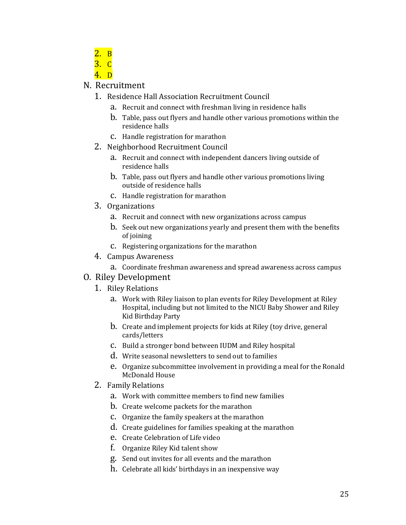- 2. B
- 3. C
- 4. D

#### N. Recruitment

- 1. Residence Hall Association Recruitment Council
	- a. Recruit and connect with freshman living in residence halls
	- b. Table, pass out flyers and handle other various promotions within the residence halls
	- c. Handle registration for marathon
- 2. Neighborhood Recruitment Council
	- a. Recruit and connect with independent dancers living outside of residence halls
	- b. Table, pass out flyers and handle other various promotions living outside of residence halls
	- c. Handle registration for marathon
- 3. Organizations
	- a. Recruit and connect with new organizations across campus
	- b. Seek out new organizations yearly and present them with the benefits of joining
	- c. Registering organizations for the marathon
- 4. Campus Awareness
	- a. Coordinate freshman awareness and spread awareness across campus
- O. Riley Development
	- 1. Riley Relations
		- a. Work with Riley liaison to plan events for Riley Development at Riley Hospital, including but not limited to the NICU Baby Shower and Riley Kid Birthday Party
		- b. Create and implement projects for kids at Riley (toy drive, general cards/letters
		- c. Build a stronger bond between IUDM and Riley hospital
		- d. Write seasonal newsletters to send out to families
		- e. Organize subcommittee involvement in providing a meal for the Ronald McDonald House
	- 2. Family Relations
		- a. Work with committee members to find new families
		- b. Create welcome packets for the marathon
		- c. Organize the family speakers at the marathon
		- d. Create guidelines for families speaking at the marathon
		- e. Create Celebration of Life video
		- f. Organize Riley Kid talent show
		- g. Send out invites for all events and the marathon
		- h. Celebrate all kids' birthdays in an inexpensive way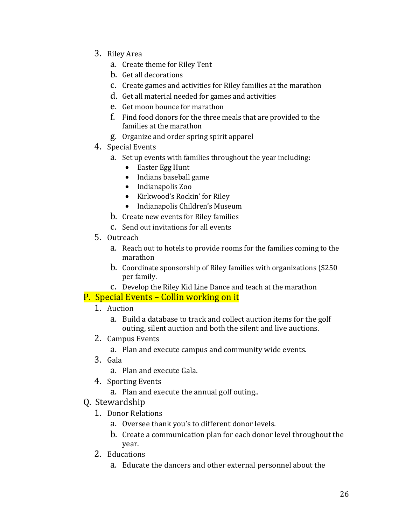- 3. Riley Area
	- a. Create theme for Riley Tent
	- b. Get all decorations
	- c. Create games and activities for Riley families at the marathon
	- d. Get all material needed for games and activities
	- e. Get moon bounce for marathon
	- f. Find food donors for the three meals that are provided to the families at the marathon
	- g. Organize and order spring spirit apparel
- 4. Special Events
	- a. Set up events with families throughout the year including:
		- Easter Egg Hunt
		- Indians baseball game
		- Indianapolis Zoo
		- Kirkwood's Rockin' for Riley
		- Indianapolis Children's Museum
	- b. Create new events for Riley families
	- c. Send out invitations for all events
- 5. Outreach
	- a. Reach out to hotels to provide rooms for the families coming to the marathon
	- b. Coordinate sponsorship of Riley families with organizations (\$250 per family.
	- c. Develop the Riley Kid Line Dance and teach at the marathon

#### P. Special Events – Collin working on it

- 1. Auction
	- a. Build a database to track and collect auction items for the golf outing, silent auction and both the silent and live auctions.
- 2. Campus Events
	- a. Plan and execute campus and community wide events.
- 3. Gala
	- a. Plan and execute Gala.
- 4. Sporting Events
	- a. Plan and execute the annual golf outing..
- Q. Stewardship
	- 1. Donor Relations
		- a. Oversee thank you's to different donor levels.
		- b. Create a communication plan for each donor level throughout the year.
	- 2. Educations
		- a. Educate the dancers and other external personnel about the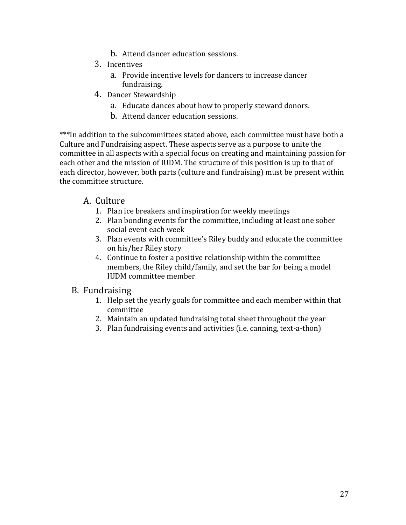- b. Attend dancer education sessions.
- 3. Incentives
	- a. Provide incentive levels for dancers to increase dancer fundraising.
- 4. Dancer Stewardship
	- a. Educate dances about how to properly steward donors.
	- b. Attend dancer education sessions.

\*\*\*In addition to the subcommittees stated above, each committee must have both a Culture and Fundraising aspect. These aspects serve as a purpose to unite the committee in all aspects with a special focus on creating and maintaining passion for each other and the mission of IUDM. The structure of this position is up to that of each director, however, both parts (culture and fundraising) must be present within the committee structure.

#### A. Culture

- 1. Plan ice breakers and inspiration for weekly meetings
- 2. Plan bonding events for the committee, including at least one sober social event each week
- 3. Plan events with committee's Riley buddy and educate the committee on his/her Riley story
- 4. Continue to foster a positive relationship within the committee members, the Riley child/family, and set the bar for being a model IUDM committee member

#### B. Fundraising

- 1. Help set the yearly goals for committee and each member within that committee
- 2. Maintain an updated fundraising total sheet throughout the year
- 3. Plan fundraising events and activities (i.e. canning, text-a-thon)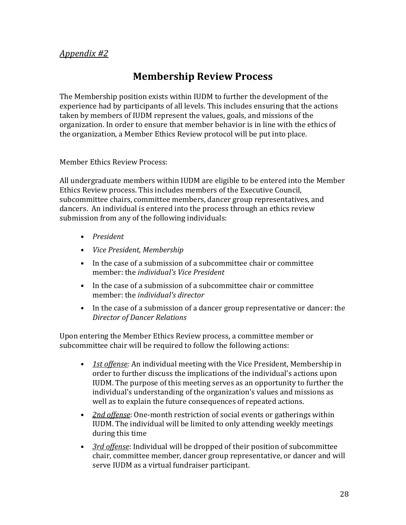#### *Appendix #2*

## **Membership Review Process**

The Membership position exists within IUDM to further the development of the experience had by participants of all levels. This includes ensuring that the actions taken by members of IUDM represent the values, goals, and missions of the organization. In order to ensure that member behavior is in line with the ethics of the organization, a Member Ethics Review protocol will be put into place.

Member Ethics Review Process:

All undergraduate members within IUDM are eligible to be entered into the Member Ethics Review process. This includes members of the Executive Council, subcommittee chairs, committee members, dancer group representatives, and dancers. An individual is entered into the process through an ethics review submission from any of the following individuals:

- *President*
- *Vice President, Membership*
- In the case of a submission of a subcommittee chair or committee member: the *individual's Vice President*
- In the case of a submission of a subcommittee chair or committee member: the *individual's director*
- In the case of a submission of a dancer group representative or dancer: the *Director of Dancer Relations*

Upon entering the Member Ethics Review process, a committee member or subcommittee chair will be required to follow the following actions:

- *1st offense:* An individual meeting with the Vice President, Membership in order to further discuss the implications of the individual's actions upon IUDM. The purpose of this meeting serves as an opportunity to further the individual's understanding of the organization's values and missions as well as to explain the future consequences of repeated actions.
- *2nd offense*: One-month restriction of social events or gatherings within IUDM. The individual will be limited to only attending weekly meetings during this time
- *3rd offense*: Individual will be dropped of their position of subcommittee chair, committee member, dancer group representative, or dancer and will serve IUDM as a virtual fundraiser participant.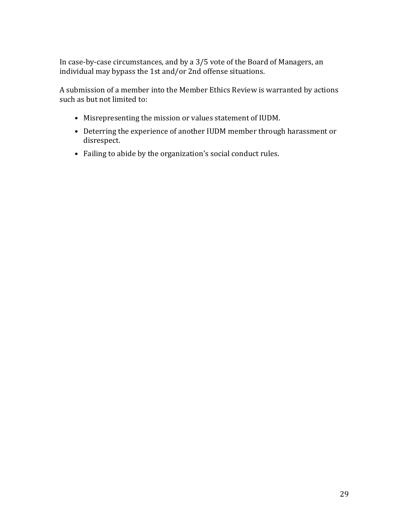In case-by-case circumstances, and by a 3/5 vote of the Board of Managers, an individual may bypass the 1st and/or 2nd offense situations.

A submission of a member into the Member Ethics Review is warranted by actions such as but not limited to:

- Misrepresenting the mission or values statement of IUDM.
- Deterring the experience of another IUDM member through harassment or disrespect.
- Failing to abide by the organization's social conduct rules.